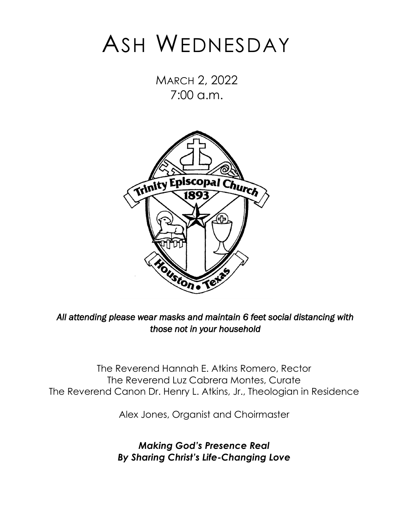# ASH WEDNESDAY

MARCH 2, 2022 7:00 a.m.



*All attending please wear masks and maintain 6 feet social distancing with those not in your household* 

The Reverend Hannah E. Atkins Romero, Rector The Reverend Luz Cabrera Montes, Curate The Reverend Canon Dr. Henry L. Atkins, Jr., Theologian in Residence

Alex Jones, Organist and Choirmaster

*Making God's Presence Real By Sharing Christ's Life-Changing Love*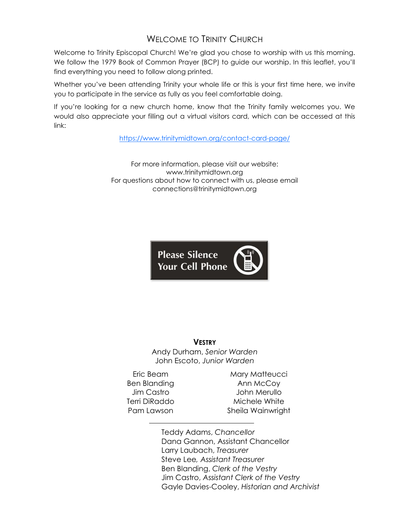# WELCOME TO TRINITY CHURCH

Welcome to Trinity Episcopal Church! We're glad you chose to worship with us this morning. We follow the 1979 Book of Common Prayer (BCP) to guide our worship. In this leaflet, you'll find everything you need to follow along printed.

Whether you've been attending Trinity your whole life or this is your first time here, we invite you to participate in the service as fully as you feel comfortable doing.

If you're looking for a new church home, know that the Trinity family welcomes you. We would also appreciate your filling out a virtual visitors card, which can be accessed at this link:

<https://www.trinitymidtown.org/contact-card-page/>

For more information, please visit our website: www.trinitymidtown.org For questions about how to connect with us, please email connections@trinitymidtown.org



#### **VESTRY**

Andy Durham, *Senior Warden* John Escoto, *Junior Warden*

Eric Beam Ben Blanding Jim Castro Terri DiRaddo Pam Lawson

Mary Matteucci Ann McCoy John Merullo Michele White Sheila Wainwright

Teddy Adams, *Chancellor* Dana Gannon, Assistant Chancellor Larry Laubach, *Treasurer* Steve Lee*, Assistant Treasurer* Ben Blanding, *Clerk of the Vestry* Jim Castro, *Assistant Clerk of the Vestry* Gayle Davies-Cooley, *Historian and Archivist*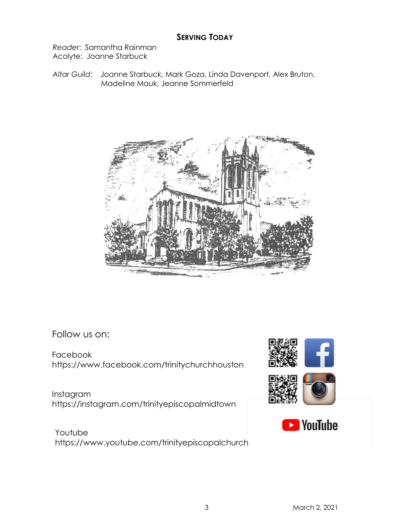### **SERVING TODAY**

*Reader*: Samantha Rainman Acolyte: Joanne Starbuck

*Altar Guild*: Joanne Starbuck, Mark Goza, Linda Davenport, Alex Bruton, Madeline Mauk, Jeanne Sommerfeld



Follow us on:

Facebook https://www.facebook.com/trinitychurchhouston

Instagram https://instagram.com/trinityepiscopalmidtown

 Youtube https://www.youtube.com/trinityepiscopalchurch

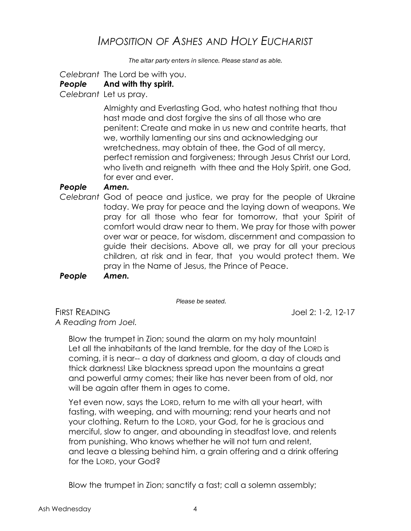# *IMPOSITION OF ASHES AND HOLY EUCHARIST*

*The altar party enters in silence. Please stand as able.*

 *Celebrant* The Lord be with you.

### *People* **And with thy spirit.**

 *Celebrant* Let us pray.

Almighty and Everlasting God, who hatest nothing that thou hast made and dost forgive the sins of all those who are penitent: Create and make in us new and contrite hearts, that we, worthily lamenting our sins and acknowledging our wretchedness, may obtain of thee, the God of all mercy, perfect remission and forgiveness; through Jesus Christ our Lord, who liveth and reigneth with thee and the Holy Spirit, one God, for ever and ever.

### *People Amen.*

 *Celebrant* God of peace and justice, we pray for the people of Ukraine today. We pray for peace and the laying down of weapons. We pray for all those who fear for tomorrow, that your Spirit of comfort would draw near to them. We pray for those with power over war or peace, for wisdom, discernment and compassion to guide their decisions. Above all, we pray for all your precious children, at risk and in fear, that you would protect them. We pray in the Name of Jesus, the Prince of Peace.

 *People Amen.*

*Please be seated.* 

FIRST READING Joel 2: 1-2, 12-17 *A Reading from Joel.*

Blow the trumpet in Zion; sound the alarm on my holy mountain! Let all the inhabitants of the land tremble, for the day of the LORD is coming, it is near-- a day of darkness and gloom, a day of clouds and thick darkness! Like blackness spread upon the mountains a great and powerful army comes; their like has never been from of old, nor will be again after them in ages to come.

Yet even now, says the LORD, return to me with all your heart, with fasting, with weeping, and with mourning; rend your hearts and not your clothing. Return to the LORD, your God, for he is gracious and merciful, slow to anger, and abounding in steadfast love, and relents from punishing. Who knows whether he will not turn and relent, and leave a blessing behind him, a grain offering and a drink offering for the LORD, your God?

Blow the trumpet in Zion; sanctify a fast; call a solemn assembly;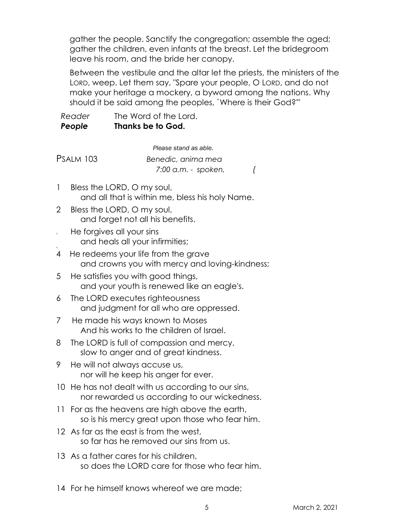gather the people. Sanctify the congregation; assemble the aged; gather the children, even infants at the breast. Let the bridegroom leave his room, and the bride her canopy.

Between the vestibule and the altar let the priests, the ministers of the LORD, weep. Let them say, "Spare your people, O LORD, and do not make your heritage a mockery, a byword among the nations. Why should it be said among the peoples, `Where is their God?'"

| Reader | The Word of the Lord. |
|--------|-----------------------|
| People | Thanks be to God.     |

*Please stand as able.*  PSALM 103 *Benedic, anima mea 7:00 a.m. - spoken, (*

- 1 Bless the LORD, O my soul, and all that is within me, bless his holy Name.
- 2 Bless the LORD, O my soul, and forget not all his benefits.
- He forgives all your sins and heals all your infirmities;
- 4 4 He redeems your life from the grave and crowns you with mercy and loving-kindness;
- 5 He satisfies you with good things, and your youth is renewed like an eagle's.
- 6 The LORD executes righteousness and judgment for all who are oppressed.
- 7 He made his ways known to Moses And his works to the children of Israel.
- 8 The LORD is full of compassion and mercy, slow to anger and of great kindness.
- 9 He will not always accuse us, nor will he keep his anger for ever.
- 10 He has not dealt with us according to our sins, nor rewarded us according to our wickedness.
- 11 For as the heavens are high above the earth, so is his mercy great upon those who fear him.
- 12 As far as the east is from the west, so far has he removed our sins from us.
- 13 As a father cares for his children, so does the LORD care for those who fear him.
- 14 For he himself knows whereof we are made;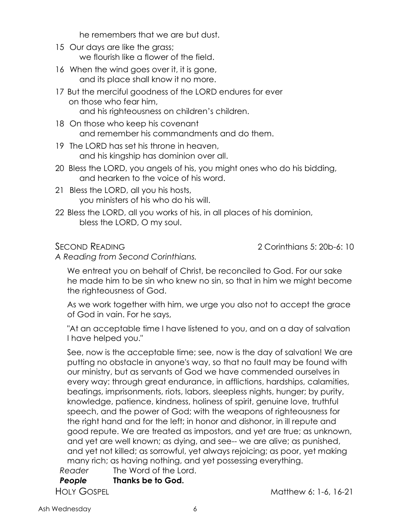he remembers that we are but dust.

- 15 Our days are like the grass; we flourish like a flower of the field.
- 16 When the wind goes over it, it is gone, and its place shall know it no more.
- 17 But the merciful goodness of the LORD endures for ever on those who fear him, and his righteousness on children's children.
- 18 On those who keep his covenant and remember his commandments and do them.
- 19 The LORD has set his throne in heaven, and his kingship has dominion over all.
- 20 Bless the LORD, you angels of his, you might ones who do his bidding, and hearken to the voice of his word.
- 21 Bless the LORD, all you his hosts, you ministers of his who do his will.
- 22 Bless the LORD, all you works of his, in all places of his dominion, bless the LORD, O my soul.

SECOND READING 2 Corinthians 5: 20b-6: 10

*A Reading from Second Corinthians.*

We entreat you on behalf of Christ, be reconciled to God. For our sake he made him to be sin who knew no sin, so that in him we might become the righteousness of God.

As we work together with him, we urge you also not to accept the grace of God in vain. For he says,

"At an acceptable time I have listened to you, and on a day of salvation I have helped you."

See, now is the acceptable time; see, now is the day of salvation! We are putting no obstacle in anyone's way, so that no fault may be found with our ministry, but as servants of God we have commended ourselves in every way: through great endurance, in afflictions, hardships, calamities, beatings, imprisonments, riots, labors, sleepless nights, hunger; by purity, knowledge, patience, kindness, holiness of spirit, genuine love, truthful speech, and the power of God; with the weapons of righteousness for the right hand and for the left; in honor and dishonor, in ill repute and good repute. We are treated as impostors, and yet are true; as unknown, and yet are well known; as dying, and see-- we are alive; as punished, and yet not killed; as sorrowful, yet always rejoicing; as poor, yet making many rich; as having nothing, and yet possessing everything.

 *Reader* The Word of the Lord.  *People* **Thanks be to God.** HOLY GOSPEL **Matthew 6: 1-6, 16-21**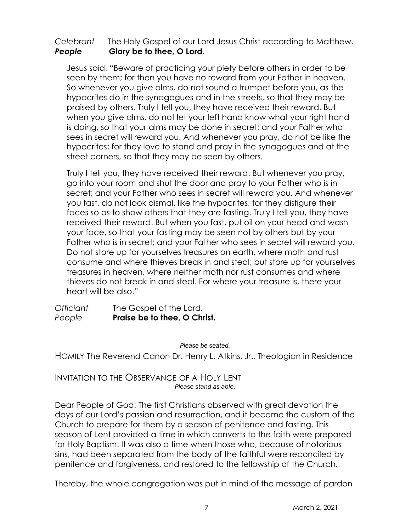### *Celebrant* The Holy Gospel of our Lord Jesus Christ according to Matthew. *People* **Glory be to thee, O Lord**.

Jesus said, "Beware of practicing your piety before others in order to be seen by them; for then you have no reward from your Father in heaven. So whenever you give alms, do not sound a trumpet before you, as the hypocrites do in the synagogues and in the streets, so that they may be praised by others. Truly I tell you, they have received their reward. But when you give alms, do not let your left hand know what your right hand is doing, so that your alms may be done in secret; and your Father who sees in secret will reward you. And whenever you pray, do not be like the hypocrites; for they love to stand and pray in the synagogues and at the street corners, so that they may be seen by others.

Truly I tell you, they have received their reward. But whenever you pray, go into your room and shut the door and pray to your Father who is in secret; and your Father who sees in secret will reward you. And whenever you fast, do not look dismal, like the hypocrites, for they disfigure their faces so as to show others that they are fasting. Truly I tell you, they have received their reward. But when you fast, put oil on your head and wash your face, so that your fasting may be seen not by others but by your Father who is in secret; and your Father who sees in secret will reward you. Do not store up for yourselves treasures on earth, where moth and rust consume and where thieves break in and steal; but store up for yourselves treasures in heaven, where neither moth nor rust consumes and where thieves do not break in and steal. For where your treasure is, there your heart will be also."

*Officiant* The Gospel of the Lord. *People* **Praise be to thee, O Christ.**

*Please be seated.*

HOMILY The Reverend Canon Dr. Henry L. Atkins, Jr., Theologian in Residence

INVITATION TO THE OBSERVANCE OF A HOLY LENT *Please stand as able.*

Dear People of God: The first Christians observed with great devotion the days of our Lord's passion and resurrection, and it became the custom of the Church to prepare for them by a season of penitence and fasting. This season of Lent provided a time in which converts to the faith were prepared for Holy Baptism. It was also a time when those who, because of notorious sins, had been separated from the body of the faithful were reconciled by penitence and forgiveness, and restored to the fellowship of the Church.

Thereby, the whole congregation was put in mind of the message of pardon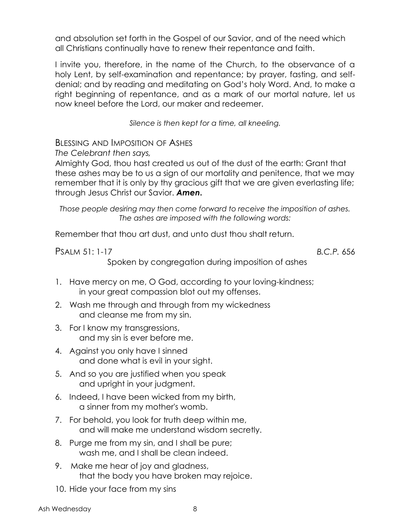and absolution set forth in the Gospel of our Savior, and of the need which all Christians continually have to renew their repentance and faith.

I invite you, therefore, in the name of the Church, to the observance of a holy Lent, by self-examination and repentance; by prayer, fasting, and selfdenial; and by reading and meditating on God's holy Word. And, to make a right beginning of repentance, and as a mark of our mortal nature, let us now kneel before the Lord, our maker and redeemer.

*Silence is then kept for a time, all kneeling.* 

BLESSING AND IMPOSITION OF ASHES

*The Celebrant then says,*

Almighty God, thou hast created us out of the dust of the earth: Grant that these ashes may be to us a sign of our mortality and penitence, that we may remember that it is only by thy gracious gift that we are given everlasting life; through Jesus Christ our Savior. *Amen***.**

*Those people desiring may then come forward to receive the imposition of ashes. The ashes are imposed with the following words:*

Remember that thou art dust, and unto dust thou shalt return.

PSALM 51: 1-17 *B.C.P.* 656

Spoken by congregation during imposition of ashes

- 1. Have mercy on me, O God, according to your loving-kindness; in your great compassion blot out my offenses.
- 2. Wash me through and through from my wickedness and cleanse me from my sin.
- 3. For I know my transgressions, and my sin is ever before me.
- 4. Against you only have I sinned and done what is evil in your sight.
- 5. And so you are justified when you speak and upright in your judgment.
- 6. Indeed, I have been wicked from my birth, a sinner from my mother's womb.
- 7. For behold, you look for truth deep within me, and will make me understand wisdom secretly.
- 8. Purge me from my sin, and I shall be pure; wash me, and I shall be clean indeed.
- 9. Make me hear of joy and gladness, that the body you have broken may rejoice.
- 10. Hide your face from my sins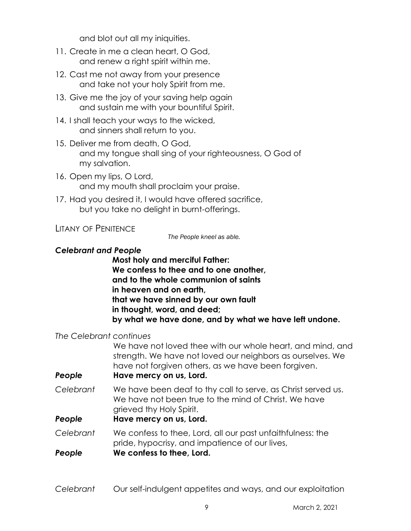and blot out all my iniquities.

- 11. Create in me a clean heart, O God, and renew a right spirit within me.
- 12. Cast me not away from your presence and take not your holy Spirit from me.
- 13. Give me the joy of your saving help again and sustain me with your bountiful Spirit.
- 14. I shall teach your ways to the wicked, and sinners shall return to you.
- 15. Deliver me from death, O God, and my tongue shall sing of your righteousness, O God of my salvation.
- 16. Open my lips, O Lord, and my mouth shall proclaim your praise.
- 17. Had you desired it, I would have offered sacrifice, but you take no delight in burnt-offerings.

### LITANY OF PENITENCE

*The People kneel as able.*

### *Celebrant and People*

**Most holy and merciful Father: We confess to thee and to one another, and to the whole communion of saints in heaven and on earth, that we have sinned by our own fault in thought, word, and deed; by what we have done, and by what we have left undone.**

### *The Celebrant continues*

We have not loved thee with our whole heart, and mind, and strength. We have not loved our neighbors as ourselves. We have not forgiven others, as we have been forgiven. *People* **Have mercy on us, Lord.**

*Celebrant* We have been deaf to thy call to serve, as Christ served us. We have not been true to the mind of Christ. We have grieved thy Holy Spirit.

### *People* **Have mercy on us, Lord.**

- *Celebrant* We confess to thee, Lord, all our past unfaithfulness: the pride, hypocrisy, and impatience of our lives,
- *People* **We confess to thee, Lord.**
- *Celebrant* Our self-indulgent appetites and ways, and our exploitation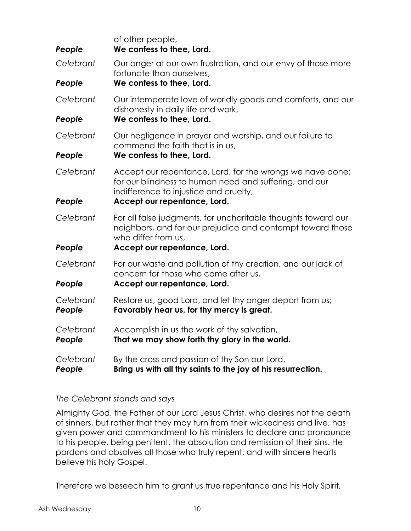| People              | of other people,<br>We confess to thee, Lord.                                                                                                                 |
|---------------------|---------------------------------------------------------------------------------------------------------------------------------------------------------------|
| Celebrant           | Our anger at our own frustration, and our envy of those more<br>fortunate than ourselves,                                                                     |
| People              | We confess to thee, Lord.                                                                                                                                     |
| Celebrant           | Our intemperate love of worldly goods and comforts, and our<br>dishonesty in daily life and work,                                                             |
| People              | We confess to thee, Lord.                                                                                                                                     |
| Celebrant           | Our negligence in prayer and worship, and our failure to<br>commend the faith that is in us,                                                                  |
| People              | We confess to thee, Lord.                                                                                                                                     |
| Celebrant           | Accept our repentance, Lord, for the wrongs we have done:<br>for our blindness to human need and suffering, and our<br>indifference to injustice and cruelty, |
| People              | Accept our repentance, Lord.                                                                                                                                  |
| Celebrant           | For all false judgments, for uncharitable thoughts toward our<br>neighbors, and for our prejudice and contempt toward those<br>who differ from us,            |
| People              | Accept our repentance, Lord.                                                                                                                                  |
| Celebrant           | For our waste and pollution of thy creation, and our lack of<br>concern for those who come after us,                                                          |
| People              | Accept our repentance, Lord.                                                                                                                                  |
| Celebrant<br>People | Restore us, good Lord, and let thy anger depart from us;<br>Favorably hear us, for thy mercy is great.                                                        |
| Celebrant<br>People | Accomplish in us the work of thy salvation,<br>That we may show forth thy glory in the world.                                                                 |
| Celebrant<br>People | By the cross and passion of thy Son our Lord,<br>Bring us with all thy saints to the joy of his resurrection.                                                 |

### *The Celebrant stands and says*

Almighty God, the Father of our Lord Jesus Christ, who desires not the death of sinners, but rather that they may turn from their wickedness and live, has given power and commandment to his ministers to declare and pronounce to his people, being penitent, the absolution and remission of their sins. He pardons and absolves all those who truly repent, and with sincere hearts believe his holy Gospel.

Therefore we beseech him to grant us true repentance and his Holy Spirit,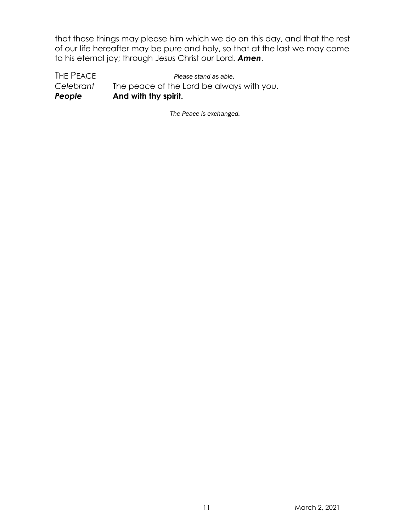that those things may please him which we do on this day, and that the rest of our life hereafter may be pure and holy, so that at the last we may come to his eternal joy; through Jesus Christ our Lord. *Amen*.

THE PEACE *Please stand as able. Celebrant* The peace of the Lord be always with you. *People* **And with thy spirit.**

*The Peace is exchanged.*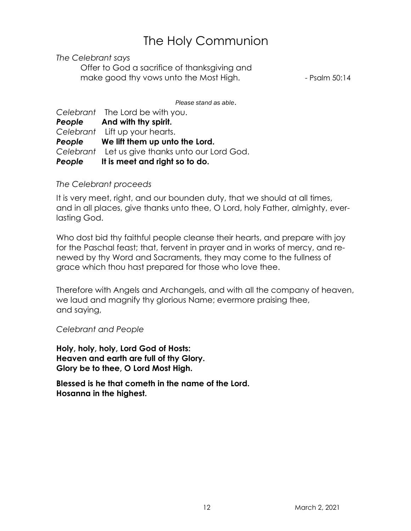# The Holy Communion

*The Celebrant says*

Offer to God a sacrifice of thanksgiving and make good thy vows unto the Most High. The Solid Results of Psalm 50:14

*Please stand as able*.

*Celebrant* The Lord be with you. *People* **And with thy spirit.** *Celebrant* Lift up your hearts. *People* **We lift them up unto the Lord.** *Celebrant* Let us give thanks unto our Lord God. *People* **It is meet and right so to do.** 

### *The Celebrant proceeds*

It is very meet, right, and our bounden duty, that we should at all times, and in all places, give thanks unto thee, O Lord, holy Father, almighty, everlasting God.

Who dost bid thy faithful people cleanse their hearts, and prepare with joy for the Paschal feast; that, fervent in prayer and in works of mercy, and renewed by thy Word and Sacraments, they may come to the fullness of grace which thou hast prepared for those who love thee.

Therefore with Angels and Archangels, and with all the company of heaven, we laud and magnify thy glorious Name; evermore praising thee, and saying,

*Celebrant and People*

**Holy, holy, holy, Lord God of Hosts: Heaven and earth are full of thy Glory. Glory be to thee, O Lord Most High.**

**Blessed is he that cometh in the name of the Lord. Hosanna in the highest.**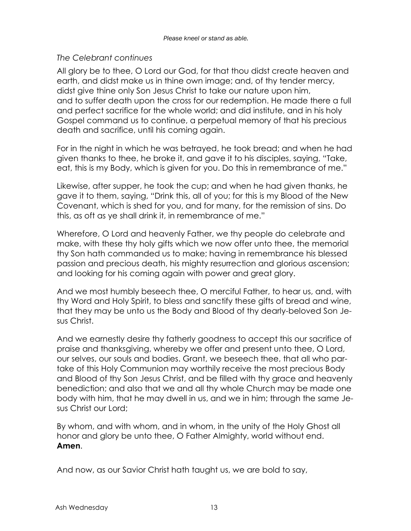### *The Celebrant continues*

All glory be to thee, O Lord our God, for that thou didst create heaven and earth, and didst make us in thine own image; and, of thy tender mercy, didst give thine only Son Jesus Christ to take our nature upon him, and to suffer death upon the cross for our redemption. He made there a full and perfect sacrifice for the whole world; and did institute, and in his holy Gospel command us to continue, a perpetual memory of that his precious death and sacrifice, until his coming again.

For in the night in which he was betrayed, he took bread; and when he had given thanks to thee, he broke it, and gave it to his disciples, saying, "Take, eat, this is my Body, which is given for you. Do this in remembrance of me."

Likewise, after supper, he took the cup; and when he had given thanks, he gave it to them, saying, "Drink this, all of you; for this is my Blood of the New Covenant, which is shed for you, and for many, for the remission of sins. Do this, as oft as ye shall drink it, in remembrance of me."

Wherefore, O Lord and heavenly Father, we thy people do celebrate and make, with these thy holy gifts which we now offer unto thee, the memorial thy Son hath commanded us to make; having in remembrance his blessed passion and precious death, his mighty resurrection and glorious ascension; and looking for his coming again with power and great glory.

And we most humbly beseech thee, O merciful Father, to hear us, and, with thy Word and Holy Spirit, to bless and sanctify these gifts of bread and wine, that they may be unto us the Body and Blood of thy dearly-beloved Son Jesus Christ.

And we earnestly desire thy fatherly goodness to accept this our sacrifice of praise and thanksgiving, whereby we offer and present unto thee, O Lord, our selves, our souls and bodies. Grant, we beseech thee, that all who partake of this Holy Communion may worthily receive the most precious Body and Blood of thy Son Jesus Christ, and be filled with thy grace and heavenly benediction; and also that we and all thy whole Church may be made one body with him, that he may dwell in us, and we in him; through the same Jesus Christ our Lord;

By whom, and with whom, and in whom, in the unity of the Holy Ghost all honor and glory be unto thee, O Father Almighty, world without end. **Amen**.

And now, as our Savior Christ hath taught us, we are bold to say,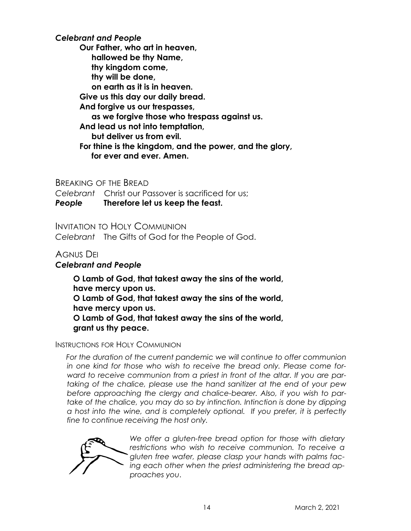*Celebrant and People*

**Our Father, who art in heaven, hallowed be thy Name, thy kingdom come, thy will be done, on earth as it is in heaven. Give us this day our daily bread. And forgive us our trespasses, as we forgive those who trespass against us. And lead us not into temptation, but deliver us from evil. For thine is the kingdom, and the power, and the glory, for ever and ever. Amen.**

BREAKING OF THE BREAD

*Celebrant* Christ our Passover is sacrificed for us;

*People* **Therefore let us keep the feast.** 

INVITATION TO HOLY COMMUNION *Celebrant* The Gifts of God for the People of God.

# AGNUS DEI

### *Celebrant and People*

**O Lamb of God, that takest away the sins of the world, have mercy upon us. O Lamb of God, that takest away the sins of the world, have mercy upon us. O Lamb of God, that takest away the sins of the world, grant us thy peace.** 

### INSTRUCTIONS FOR HOLY COMMUNION

*For the duration of the current pandemic we will continue to offer communion in one kind for those who wish to receive the bread only. Please come forward to receive communion from a priest in front of the altar. If you are partaking of the chalice, please use the hand sanitizer at the end of your pew before approaching the clergy and chalice-bearer. Also, if you wish to partake of the chalice, you may do so by intinction. Intinction is done by dipping a host into the wine, and is completely optional. If you prefer, it is perfectly fine to continue receiving the host only.* 



*We offer a gluten-free bread option for those with dietary restrictions who wish to receive communion. To receive a gluten free wafer, please clasp your hands with palms facing each other when the priest administering the bread approaches you*.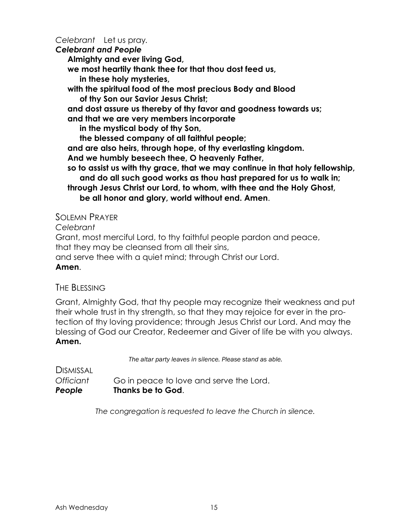*Celebrant* Let us pray*.*

*Celebrant and People*

**Almighty and ever living God,** 

**we most heartily thank thee for that thou dost feed us,** 

**in these holy mysteries,** 

**with the spiritual food of the most precious Body and Blood of thy Son our Savior Jesus Christ;** 

**and dost assure us thereby of thy favor and goodness towards us;** 

**and that we are very members incorporate** 

**in the mystical body of thy Son,** 

**the blessed company of all faithful people;** 

**and are also heirs, through hope, of thy everlasting kingdom.** 

**And we humbly beseech thee, O heavenly Father,** 

**so to assist us with thy grace, that we may continue in that holy fellowship, and do all such good works as thou hast prepared for us to walk in;** 

**through Jesus Christ our Lord, to whom, with thee and the Holy Ghost, be all honor and glory, world without end. Amen**.

SOLEMN PRAYER

*Celebrant*

Grant, most merciful Lord, to thy faithful people pardon and peace,

that they may be cleansed from all their sins,

and serve thee with a quiet mind; through Christ our Lord.

**Amen**.

### THE BLESSING

Grant, Almighty God, that thy people may recognize their weakness and put their whole trust in thy strength, so that they may rejoice for ever in the protection of thy loving providence; through Jesus Christ our Lord. And may the blessing of God our Creator, Redeemer and Giver of life be with you always. **Amen.**

*The altar party leaves in silence. Please stand as able.*

DISMISSAL *Officiant* Go in peace to love and serve the Lord. *People* **Thanks be to God**.

*The congregation is requested to leave the Church in silence.*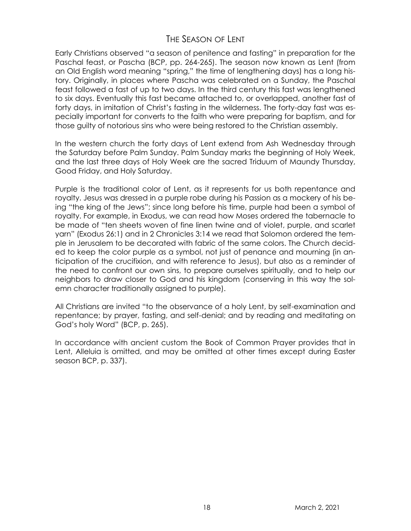# THE SEASON OF LENT

Early Christians observed "a season of penitence and fasting" in preparation for the Paschal feast, or Pascha (BCP, pp. 264-265). The season now known as Lent (from an Old English word meaning "spring," the time of lengthening days) has a long history. Originally, in places where Pascha was celebrated on a Sunday, the Paschal feast followed a fast of up to two days. In the third century this fast was lengthened to six days. Eventually this fast became attached to, or overlapped, another fast of forty days, in imitation of Christ's fasting in the wilderness. The forty-day fast was especially important for converts to the faith who were preparing for baptism, and for those guilty of notorious sins who were being restored to the Christian assembly.

In the western church the forty days of Lent extend from Ash Wednesday through the Saturday before Palm Sunday. Palm Sunday marks the beginning of Holy Week, and the last three days of Holy Week are the sacred Triduum of Maundy Thursday, Good Friday, and Holy Saturday.

Purple is the traditional color of Lent, as it represents for us both repentance and royalty. Jesus was dressed in a purple robe during his Passion as a mockery of his being "the king of the Jews"; since long before his time, purple had been a symbol of royalty. For example, in Exodus, we can read how Moses ordered the tabernacle to be made of "ten sheets woven of fine linen twine and of violet, purple, and scarlet yarn" (Exodus 26:1) and in 2 Chronicles 3:14 we read that Solomon ordered the temple in Jerusalem to be decorated with fabric of the same colors. The Church decided to keep the color purple as a symbol, not just of penance and mourning (in anticipation of the crucifixion, and with reference to Jesus), but also as a reminder of the need to confront our own sins, to prepare ourselves spiritually, and to help our neighbors to draw closer to God and his kingdom (conserving in this way the solemn character traditionally assigned to purple).

All Christians are invited "to the observance of a holy Lent, by self-examination and repentance; by prayer, fasting, and self-denial; and by reading and meditating on God's holy Word" (BCP, p. 265).

In accordance with ancient custom the Book of Common Prayer provides that in Lent, Alleluia is omitted, and may be omitted at other times except during Easter season BCP, p. 337).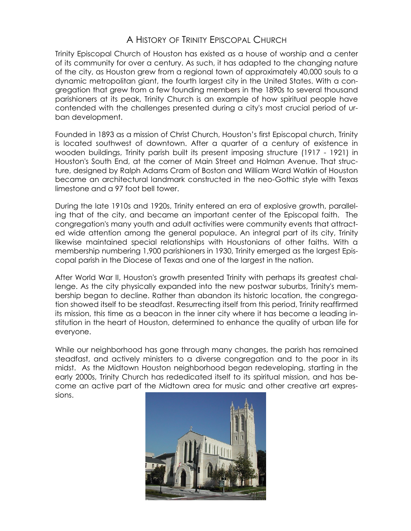# A HISTORY OF TRINITY EPISCOPAL CHURCH

Trinity Episcopal Church of Houston has existed as a house of worship and a center of its community for over a century. As such, it has adapted to the changing nature of the city, as Houston grew from a regional town of approximately 40,000 souls to a dynamic metropolitan giant, the fourth largest city in the United States. With a congregation that grew from a few founding members in the 1890s to several thousand parishioners at its peak, Trinity Church is an example of how spiritual people have contended with the challenges presented during a city's most crucial period of urban development.

Founded in 1893 as a mission of Christ Church, Houston's first Episcopal church, Trinity is located southwest of downtown. After a quarter of a century of existence in wooden buildings, Trinity parish built its present imposing structure (1917 - 1921) in Houston's South End, at the corner of Main Street and Holman Avenue. That structure, designed by Ralph Adams Cram of Boston and William Ward Watkin of Houston became an architectural landmark constructed in the neo-Gothic style with Texas limestone and a 97 foot bell tower.

During the late 1910s and 1920s, Trinity entered an era of explosive growth, paralleling that of the city, and became an important center of the Episcopal faith. The congregation's many youth and adult activities were community events that attracted wide attention among the general populace. An integral part of its city, Trinity likewise maintained special relationships with Houstonians of other faiths. With a membership numbering 1,900 parishioners in 1930, Trinity emerged as the largest Episcopal parish in the Diocese of Texas and one of the largest in the nation.

After World War II, Houston's growth presented Trinity with perhaps its greatest challenge. As the city physically expanded into the new postwar suburbs, Trinity's membership began to decline. Rather than abandon its historic location, the congregation showed itself to be steadfast. Resurrecting itself from this period, Trinity reaffirmed its mission, this time as a beacon in the inner city where it has become a leading institution in the heart of Houston, determined to enhance the quality of urban life for everyone.

While our neighborhood has gone through many changes, the parish has remained steadfast, and actively ministers to a diverse congregation and to the poor in its midst. As the Midtown Houston neighborhood began redeveloping, starting in the early 2000s, Trinity Church has rededicated itself to its spiritual mission, and has become an active part of the Midtown area for music and other creative art expressions.